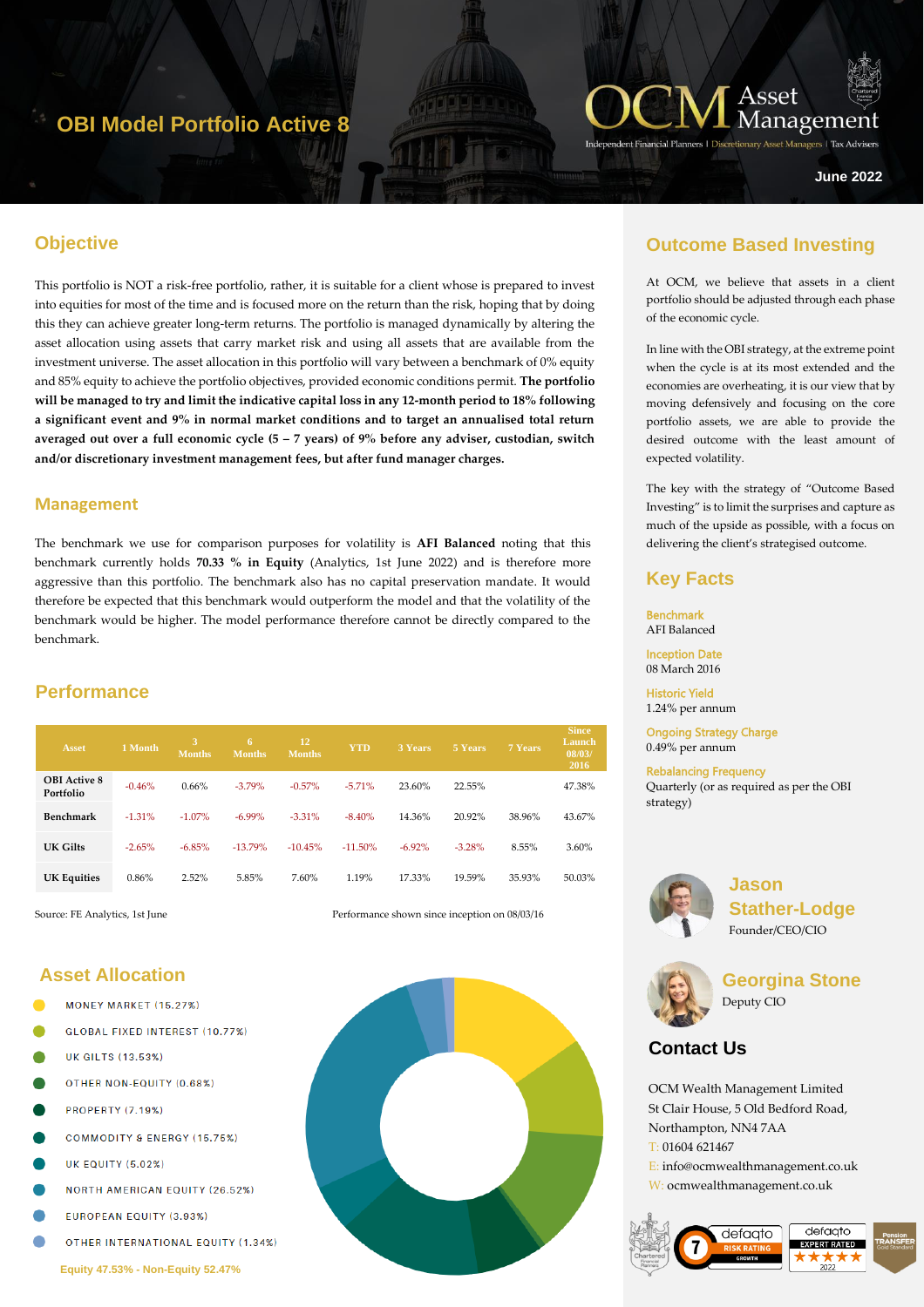# **OBI Model Portfolio Active 8**



ers | Tax Adviser

**June 2022**

# **Objective**

This portfolio is NOT a risk-free portfolio, rather, it is suitable for a client whose is prepared to invest into equities for most of the time and is focused more on the return than the risk, hoping that by doing this they can achieve greater long-term returns. The portfolio is managed dynamically by altering the asset allocation using assets that carry market risk and using all assets that are available from the investment universe. The asset allocation in this portfolio will vary between a benchmark of 0% equity and 85% equity to achieve the portfolio objectives, provided economic conditions permit. **The portfolio will be managed to try and limit the indicative capital loss in any 12-month period to 18% following a significant event and 9% in normal market conditions and to target an annualised total return averaged out over a full economic cycle (5 – 7 years) of 9% before any adviser, custodian, switch and/or discretionary investment management fees, but after fund manager charges.** 

### **Management**

The benchmark we use for comparison purposes for volatility is **AFI Balanced** noting that this benchmark currently holds **70.33 % in Equity** (Analytics, 1st June 2022) and is therefore more aggressive than this portfolio. The benchmark also has no capital preservation mandate. It would therefore be expected that this benchmark would outperform the model and that the volatility of the benchmark would be higher. The model performance therefore cannot be directly compared to the benchmark.

# **Performance**

| <b>Asset</b>                     | 1 Month  | 3<br><b>Months</b> | 6<br><b>Months</b> | 12<br><b>Months</b> | <b>YTD</b> | <b>3 Years</b> | 5 Years  | <b>7 Years</b> | <b>Since</b><br>Launch<br>08/03/<br>2016 |
|----------------------------------|----------|--------------------|--------------------|---------------------|------------|----------------|----------|----------------|------------------------------------------|
| <b>OBI</b> Active 8<br>Portfolio | $-0.46%$ | 0.66%              | $-3.79%$           | $-0.57%$            | $-5.71%$   | 23.60%         | 22.55%   |                | 47.38%                                   |
| Benchmark                        | $-1.31%$ | $-1.07\%$          | $-6.99\%$          | $-3.31%$            | $-8.40%$   | 14.36%         | 20.92%   | 38.96%         | 43.67%                                   |
| UK Gilts                         | $-2.65%$ | $-6.85%$           | $-13.79%$          | $-10.45%$           | $-11.50\%$ | $-6.92\%$      | $-3.28%$ | 8.55%          | 3.60%                                    |
| <b>UK Equities</b>               | 0.86%    | 2.52%              | 5.85%              | 7.60%               | 1.19%      | 17.33%         | 19.59%   | 35.93%         | 50.03%                                   |

Source: FE Analytics, 1st June **Performance shown since inception on 08/03/16** 

# **Asset Allocation**

- MONEY MARKET (15.27%)
- GLOBAL FIXED INTEREST (10.77%)
- **UK GILTS (13.53%)**
- OTHER NON-FOUITY (0.68%)
- **PROPERTY (7.19%)**
- **COMMODITY & ENERGY (15.75%)**
- **UK EQUITY (5.02%)**
- **NORTH AMERICAN EQUITY (26.52%)**
- EUROPEAN EQUITY (3.93%)
- OTHER INTERNATIONAL EQUITY (1.34%)

## **Outcome Based Investing**

At OCM, we believe that assets in a client portfolio should be adjusted through each phase of the economic cycle.

In line with the OBI strategy, at the extreme point when the cycle is at its most extended and the economies are overheating, it is our view that by moving defensively and focusing on the core portfolio assets, we are able to provide the desired outcome with the least amount of expected volatility.

The key with the strategy of "Outcome Based Investing" is to limit the surprises and capture as much of the upside as possible, with a focus on delivering the client's strategised outcome.

## **Key Facts**

Benchmark AFI Balanced Inception Date

08 March 2016

Historic Yield 1.24% per annum

Ongoing Strategy Charge 0.49% per annum

Rebalancing Frequency Quarterly (or as required as per the OBI strategy)



**Jason Stather-Lodge** Founder/CEO/CIO



**Georgina Stone** Deputy CIO

# **Contact Us**

OCM Wealth Management Limited St Clair House, 5 Old Bedford Road, Northampton, NN4 7AA T: 01604 621467 E: info@ocmwealthmanagement.co.uk W: ocmwealthmanagement.co.uk